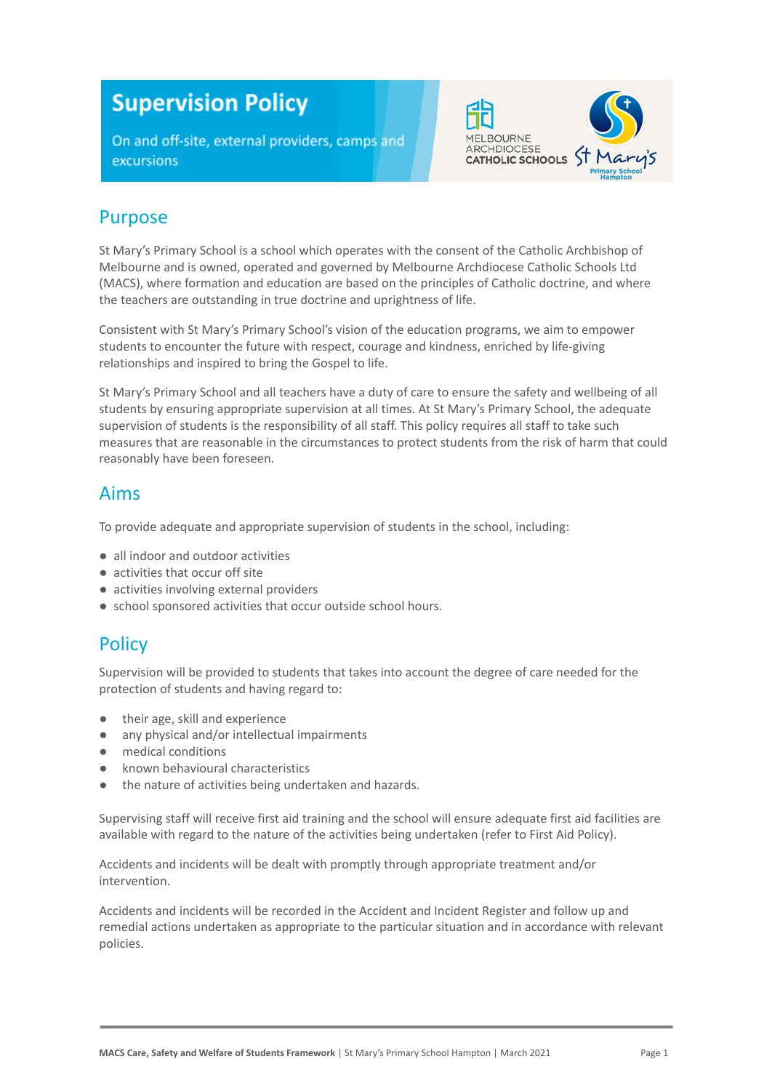# **Supervision Policy**

On and off-site, external providers, camps and excursions



## Purpose

St Mary's Primary School is a school which operates with the consent of the Catholic Archbishop of Melbourne and is owned, operated and governed by Melbourne Archdiocese Catholic Schools Ltd (MACS), where formation and education are based on the principles of Catholic doctrine, and where the teachers are outstanding in true doctrine and uprightness of life.

Consistent with St Mary's Primary School's vision of the education programs, we aim to empower students to encounter the future with respect, courage and kindness, enriched by life-giving relationships and inspired to bring the Gospel to life.

St Mary's Primary School and all teachers have a duty of care to ensure the safety and wellbeing of all students by ensuring appropriate supervision at all times. At St Mary's Primary School, the adequate supervision of students is the responsibility of all staff. This policy requires all staff to take such measures that are reasonable in the circumstances to protect students from the risk of harm that could reasonably have been foreseen.

#### Aims

To provide adequate and appropriate supervision of students in the school, including:

- all indoor and outdoor activities
- activities that occur off site
- activities involving external providers
- school sponsored activities that occur outside school hours.

## **Policy**

Supervision will be provided to students that takes into account the degree of care needed for the protection of students and having regard to:

- their age, skill and experience
- any physical and/or intellectual impairments
- medical conditions
- known behavioural characteristics
- the nature of activities being undertaken and hazards.

Supervising staff will receive first aid training and the school will ensure adequate first aid facilities are available with regard to the nature of the activities being undertaken (refer to First Aid Policy).

Accidents and incidents will be dealt with promptly through appropriate treatment and/or intervention.

Accidents and incidents will be recorded in the Accident and Incident Register and follow up and remedial actions undertaken as appropriate to the particular situation and in accordance with relevant policies.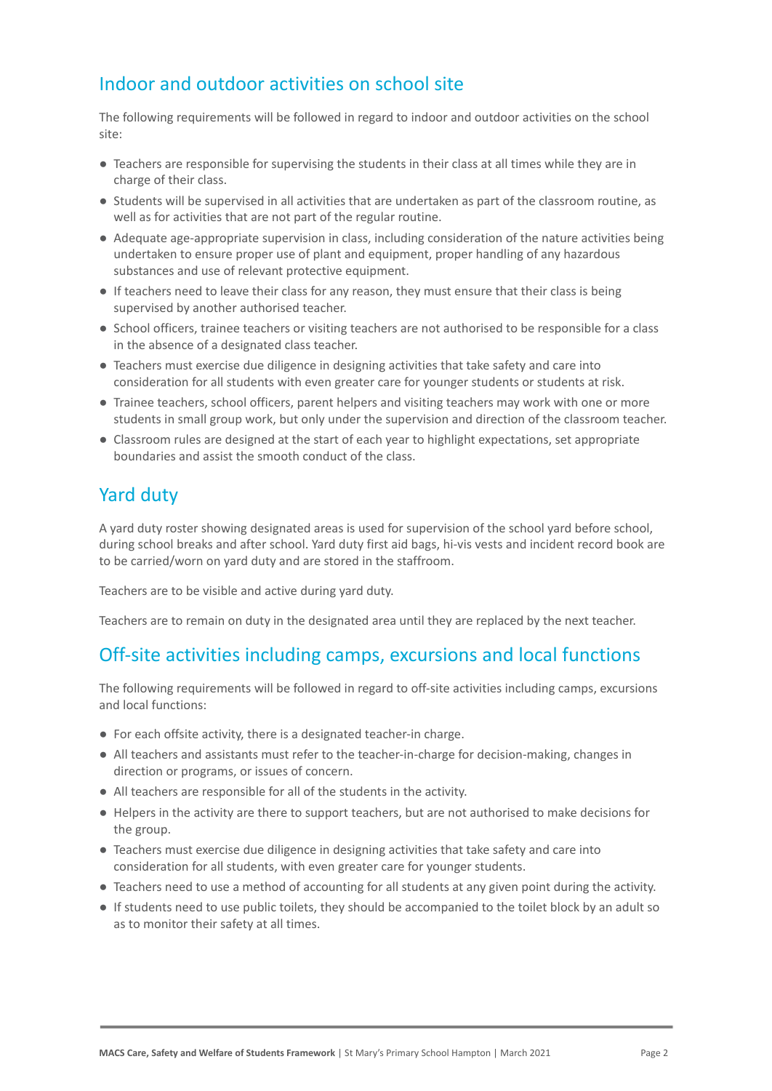## Indoor and outdoor activities on school site

The following requirements will be followed in regard to indoor and outdoor activities on the school site:

- Teachers are responsible for supervising the students in their class at all times while they are in charge of their class.
- Students will be supervised in all activities that are undertaken as part of the classroom routine, as well as for activities that are not part of the regular routine.
- Adequate age-appropriate supervision in class, including consideration of the nature activities being undertaken to ensure proper use of plant and equipment, proper handling of any hazardous substances and use of relevant protective equipment.
- If teachers need to leave their class for any reason, they must ensure that their class is being supervised by another authorised teacher.
- School officers, trainee teachers or visiting teachers are not authorised to be responsible for a class in the absence of a designated class teacher.
- Teachers must exercise due diligence in designing activities that take safety and care into consideration for all students with even greater care for younger students or students at risk.
- Trainee teachers, school officers, parent helpers and visiting teachers may work with one or more students in small group work, but only under the supervision and direction of the classroom teacher.
- Classroom rules are designed at the start of each year to highlight expectations, set appropriate boundaries and assist the smooth conduct of the class.

## Yard duty

A yard duty roster showing designated areas is used for supervision of the school yard before school, during school breaks and after school. Yard duty first aid bags, hi-vis vests and incident record book are to be carried/worn on yard duty and are stored in the staffroom.

Teachers are to be visible and active during yard duty.

Teachers are to remain on duty in the designated area until they are replaced by the next teacher.

#### Off-site activities including camps, excursions and local functions

The following requirements will be followed in regard to off-site activities including camps, excursions and local functions:

- For each offsite activity, there is a designated teacher-in charge.
- All teachers and assistants must refer to the teacher-in-charge for decision-making, changes in direction or programs, or issues of concern.
- All teachers are responsible for all of the students in the activity.
- Helpers in the activity are there to support teachers, but are not authorised to make decisions for the group.
- Teachers must exercise due diligence in designing activities that take safety and care into consideration for all students, with even greater care for younger students.
- Teachers need to use a method of accounting for all students at any given point during the activity.
- If students need to use public toilets, they should be accompanied to the toilet block by an adult so as to monitor their safety at all times.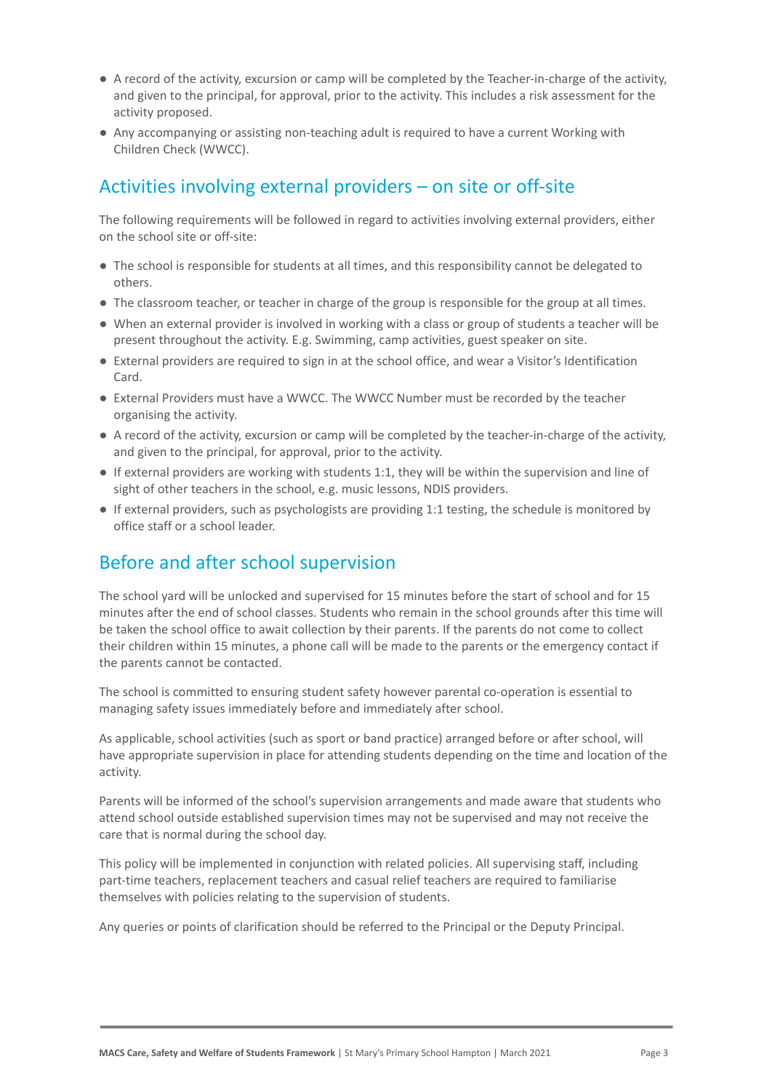- A record of the activity, excursion or camp will be completed by the Teacher-in-charge of the activity, and given to the principal, for approval, prior to the activity. This includes a risk assessment for the activity proposed.
- Any accompanying or assisting non-teaching adult is required to have a current Working with Children Check (WWCC).

## Activities involving external providers – on site or off-site

The following requirements will be followed in regard to activities involving external providers, either on the school site or off-site:

- The school is responsible for students at all times, and this responsibility cannot be delegated to others.
- The classroom teacher, or teacher in charge of the group is responsible for the group at all times.
- When an external provider is involved in working with a class or group of students a teacher will be present throughout the activity. E.g. Swimming, camp activities, guest speaker on site.
- External providers are required to sign in at the school office, and wear a Visitor's Identification Card.
- External Providers must have a WWCC. The WWCC Number must be recorded by the teacher organising the activity.
- A record of the activity, excursion or camp will be completed by the teacher-in-charge of the activity, and given to the principal, for approval, prior to the activity.
- If external providers are working with students 1:1, they will be within the supervision and line of sight of other teachers in the school, e.g. music lessons, NDIS providers.
- If external providers, such as psychologists are providing 1:1 testing, the schedule is monitored by office staff or a school leader.

## Before and after school supervision

The school yard will be unlocked and supervised for 15 minutes before the start of school and for 15 minutes after the end of school classes. Students who remain in the school grounds after this time will be taken the school office to await collection by their parents. If the parents do not come to collect their children within 15 minutes, a phone call will be made to the parents or the emergency contact if the parents cannot be contacted.

The school is committed to ensuring student safety however parental co-operation is essential to managing safety issues immediately before and immediately after school.

As applicable, school activities (such as sport or band practice) arranged before or after school, will have appropriate supervision in place for attending students depending on the time and location of the activity.

Parents will be informed of the school's supervision arrangements and made aware that students who attend school outside established supervision times may not be supervised and may not receive the care that is normal during the school day.

This policy will be implemented in conjunction with related policies. All supervising staff, including part-time teachers, replacement teachers and casual relief teachers are required to familiarise themselves with policies relating to the supervision of students.

Any queries or points of clarification should be referred to the Principal or the Deputy Principal.